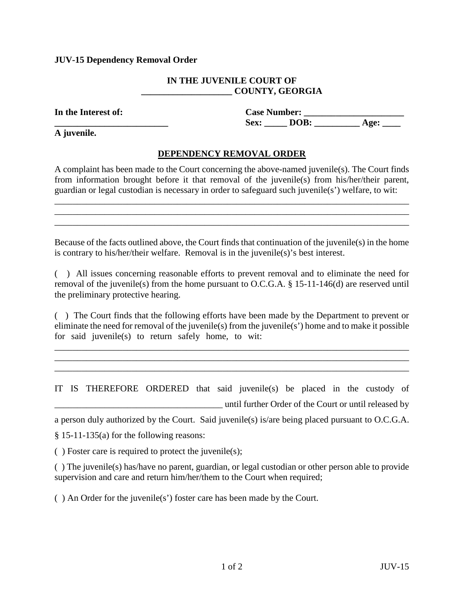## **JUV-15 Dependency Removal Order**

## **IN THE JUVENILE COURT OF \_\_\_\_\_\_\_\_\_\_\_\_\_\_\_\_\_\_\_\_ COUNTY, GEORGIA**

**In the Interest of: Case Number: \_\_\_\_\_\_\_\_\_\_\_\_\_\_\_\_\_\_\_\_\_\_**  Sex: **DOB:** Age:

**A juvenile.**

## **DEPENDENCY REMOVAL ORDER**

A complaint has been made to the Court concerning the above-named juvenile(s). The Court finds from information brought before it that removal of the juvenile(s) from his/her/their parent, guardian or legal custodian is necessary in order to safeguard such juvenile(s') welfare, to wit:

\_\_\_\_\_\_\_\_\_\_\_\_\_\_\_\_\_\_\_\_\_\_\_\_\_\_\_\_\_\_\_\_\_\_\_\_\_\_\_\_\_\_\_\_\_\_\_\_\_\_\_\_\_\_\_\_\_\_\_\_\_\_\_\_\_\_\_\_\_\_\_\_\_\_\_\_\_\_ \_\_\_\_\_\_\_\_\_\_\_\_\_\_\_\_\_\_\_\_\_\_\_\_\_\_\_\_\_\_\_\_\_\_\_\_\_\_\_\_\_\_\_\_\_\_\_\_\_\_\_\_\_\_\_\_\_\_\_\_\_\_\_\_\_\_\_\_\_\_\_\_\_\_\_\_\_\_ \_\_\_\_\_\_\_\_\_\_\_\_\_\_\_\_\_\_\_\_\_\_\_\_\_\_\_\_\_\_\_\_\_\_\_\_\_\_\_\_\_\_\_\_\_\_\_\_\_\_\_\_\_\_\_\_\_\_\_\_\_\_\_\_\_\_\_\_\_\_\_\_\_\_\_\_\_\_

Because of the facts outlined above, the Court finds that continuation of the juvenile(s) in the home is contrary to his/her/their welfare. Removal is in the juvenile(s)'s best interest.

( ) All issues concerning reasonable efforts to prevent removal and to eliminate the need for removal of the juvenile(s) from the home pursuant to O.C.G.A. § 15-11-146(d) are reserved until the preliminary protective hearing.

( ) The Court finds that the following efforts have been made by the Department to prevent or eliminate the need for removal of the juvenile(s) from the juvenile(s') home and to make it possible for said juvenile(s) to return safely home, to wit:

\_\_\_\_\_\_\_\_\_\_\_\_\_\_\_\_\_\_\_\_\_\_\_\_\_\_\_\_\_\_\_\_\_\_\_\_\_\_\_\_\_\_\_\_\_\_\_\_\_\_\_\_\_\_\_\_\_\_\_\_\_\_\_\_\_\_\_\_\_\_\_\_\_\_\_\_\_\_ \_\_\_\_\_\_\_\_\_\_\_\_\_\_\_\_\_\_\_\_\_\_\_\_\_\_\_\_\_\_\_\_\_\_\_\_\_\_\_\_\_\_\_\_\_\_\_\_\_\_\_\_\_\_\_\_\_\_\_\_\_\_\_\_\_\_\_\_\_\_\_\_\_\_\_\_\_\_ \_\_\_\_\_\_\_\_\_\_\_\_\_\_\_\_\_\_\_\_\_\_\_\_\_\_\_\_\_\_\_\_\_\_\_\_\_\_\_\_\_\_\_\_\_\_\_\_\_\_\_\_\_\_\_\_\_\_\_\_\_\_\_\_\_\_\_\_\_\_\_\_\_\_\_\_\_\_

IT IS THEREFORE ORDERED that said juvenile(s) be placed in the custody of \_\_\_\_\_\_\_\_\_\_\_\_\_\_\_\_\_\_\_\_\_\_\_\_\_\_\_\_\_\_\_\_\_\_\_\_\_ until further Order of the Court or until released by

a person duly authorized by the Court. Said juvenile(s) is/are being placed pursuant to O.C.G.A.

§ 15-11-135(a) for the following reasons:

 $( )$  Foster care is required to protect the juvenile(s);

( ) The juvenile(s) has/have no parent, guardian, or legal custodian or other person able to provide supervision and care and return him/her/them to the Court when required;

( ) An Order for the juvenile(s') foster care has been made by the Court.